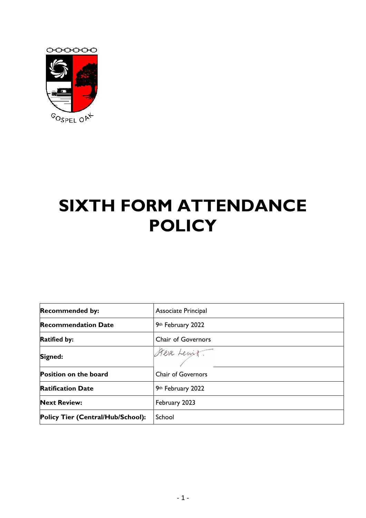

# **SIXTH FORM ATTENDANCE POLICY**

| <b>Recommended by:</b>            | Associate Principal       |
|-----------------------------------|---------------------------|
| <b>Recommendation Date</b>        | 9th February 2022         |
| <b>Ratified by:</b>               | <b>Chair of Governors</b> |
| Signed:                           | Steve Lewit.              |
| <b>Position on the board</b>      | <b>Chair of Governors</b> |
| <b>Ratification Date</b>          | 9th February 2022         |
| <b>Next Review:</b>               | February 2023             |
| Policy Tier (Central/Hub/School): | School                    |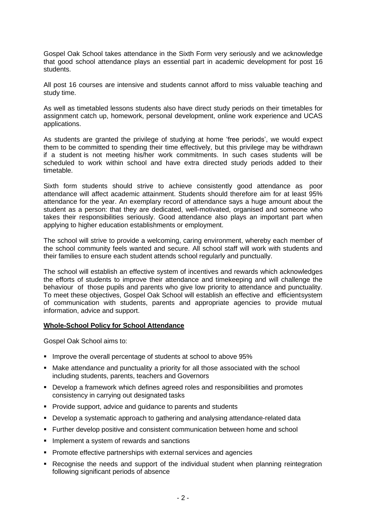Gospel Oak School takes attendance in the Sixth Form very seriously and we acknowledge that good school attendance plays an essential part in academic development for post 16 students.

All post 16 courses are intensive and students cannot afford to miss valuable teaching and study time.

As well as timetabled lessons students also have direct study periods on their timetables for assignment catch up, homework, personal development, online work experience and UCAS applications.

As students are granted the privilege of studying at home 'free periods', we would expect them to be committed to spending their time effectively, but this privilege may be withdrawn if a student is not meeting his/her work commitments. In such cases students will be scheduled to work within school and have extra directed study periods added to their timetable.

Sixth form students should strive to achieve consistently good attendance as poor attendance will affect academic attainment. Students should therefore aim for at least 95% attendance for the year. An exemplary record of attendance says a huge amount about the student as a person: that they are dedicated, well-motivated, organised and someone who takes their responsibilities seriously. Good attendance also plays an important part when applying to higher education establishments or employment.

The school will strive to provide a welcoming, caring environment, whereby each member of the school community feels wanted and secure. All school staff will work with students and their families to ensure each student attends school regularly and punctually.

The school will establish an effective system of incentives and rewards which acknowledges the efforts of students to improve their attendance and timekeeping and will challenge the behaviour of those pupils and parents who give low priority to attendance and punctuality. To meet these objectives, Gospel Oak School will establish an effective and efficientsystem of communication with students, parents and appropriate agencies to provide mutual information, advice and support.

#### **Whole-School Policy for School Attendance**

Gospel Oak School aims to:

- **.** Improve the overall percentage of students at school to above 95%
- **■** Make attendance and punctuality a priority for all those associated with the school including students, parents, teachers and Governors
- Develop a framework which defines agreed roles and responsibilities and promotes consistency in carrying out designated tasks
- **Provide support, advice and guidance to parents and students**
- Develop a systematic approach to gathering and analysing attendance-related data
- Further develop positive and consistent communication between home and school
- **.** Implement a system of rewards and sanctions
- Promote effective partnerships with external services and agencies
- **Recognise the needs and support of the individual student when planning reintegration** following significant periods of absence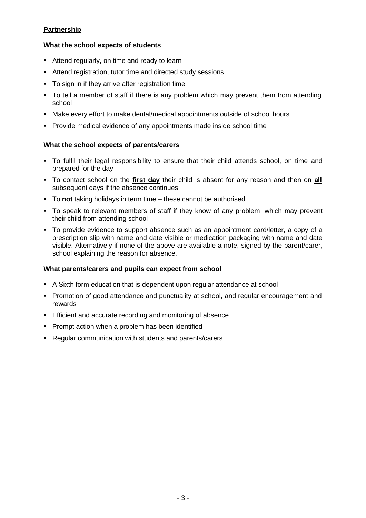# **Partnership**

# **What the school expects of students**

- Attend regularly, on time and ready to learn
- Attend registration, tutor time and directed study sessions
- To sign in if they arrive after registration time
- To tell a member of staff if there is any problem which may prevent them from attending school
- Make every effort to make dental/medical appointments outside of school hours
- Provide medical evidence of any appointments made inside school time

### **What the school expects of parents/carers**

- To fulfil their legal responsibility to ensure that their child attends school, on time and prepared for the day
- To contact school on the **first day** their child is absent for any reason and then on **all** subsequent days if the absence continues
- To not taking holidays in term time these cannot be authorised
- To speak to relevant members of staff if they know of any problem which may prevent their child from attending school
- To provide evidence to support absence such as an appointment card/letter, a copy of a prescription slip with name and date visible or medication packaging with name and date visible. Alternatively if none of the above are available a note, signed by the parent/carer, school explaining the reason for absence.

#### **What parents/carers and pupils can expect from school**

- A Sixth form education that is dependent upon regular attendance at school
- **Promotion of good attendance and punctuality at school, and regular encouragement and** rewards
- **Efficient and accurate recording and monitoring of absence**
- **Prompt action when a problem has been identified**
- Regular communication with students and parents/carers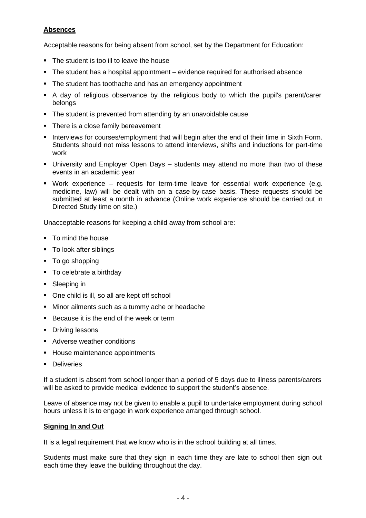# **Absences**

Acceptable reasons for being absent from school, set by the Department for Education:

- The student is too ill to leave the house
- The student has a hospital appointment evidence required for authorised absence
- The student has toothache and has an emergency appointment
- A day of religious observance by the religious body to which the pupil's parent/carer belongs
- The student is prevented from attending by an unavoidable cause
- There is a close family bereavement
- **.** Interviews for courses/employment that will begin after the end of their time in Sixth Form. Students should not miss lessons to attend interviews, shifts and inductions for part-time work
- University and Employer Open Days students may attend no more than two of these events in an academic year
- Work experience requests for term-time leave for essential work experience (e.g. medicine, law) will be dealt with on a case-by-case basis. These requests should be submitted at least a month in advance (Online work experience should be carried out in Directed Study time on site.)

Unacceptable reasons for keeping a child away from school are:

- To mind the house
- To look after siblings
- To go shopping
- To celebrate a birthday
- Sleeping in
- One child is ill, so all are kept off school
- Minor ailments such as a tummy ache or headache
- Because it is the end of the week or term
- Driving lessons
- Adverse weather conditions
- **E** House maintenance appointments
- Deliveries

If a student is absent from school longer than a period of 5 days due to illness parents/carers will be asked to provide medical evidence to support the student's absence.

Leave of absence may not be given to enable a pupil to undertake employment during school hours unless it is to engage in work experience arranged through school.

#### **Signing In and Out**

It is a legal requirement that we know who is in the school building at all times.

Students must make sure that they sign in each time they are late to school then sign out each time they leave the building throughout the day.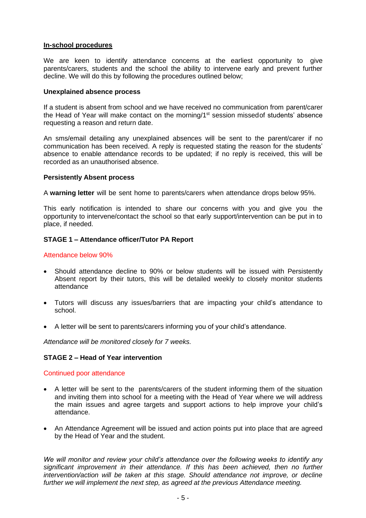#### **In-school procedures**

We are keen to identify attendance concerns at the earliest opportunity to give parents/carers, students and the school the ability to intervene early and prevent further decline. We will do this by following the procedures outlined below;

#### **Unexplained absence process**

If a student is absent from school and we have received no communication from parent/carer the Head of Year will make contact on the morning/1<sup>st</sup> session missed of students' absence requesting a reason and return date.

An sms/email detailing any unexplained absences will be sent to the parent/carer if no communication has been received. A reply is requested stating the reason for the students' absence to enable attendance records to be updated; if no reply is received, this will be recorded as an unauthorised absence.

#### **Persistently Absent process**

A **warning letter** will be sent home to parents/carers when attendance drops below 95%.

This early notification is intended to share our concerns with you and give you the opportunity to intervene/contact the school so that early support/intervention can be put in to place, if needed.

#### **STAGE 1 – Attendance officer/Tutor PA Report**

#### Attendance below 90%

- Should attendance decline to 90% or below students will be issued with Persistently Absent report by their tutors, this will be detailed weekly to closely monitor students attendance
- Tutors will discuss any issues/barriers that are impacting your child's attendance to school.
- A letter will be sent to parents/carers informing you of your child's attendance.

*Attendance will be monitored closely for 7 weeks.*

#### **STAGE 2 – Head of Year intervention**

#### Continued poor attendance

- A letter will be sent to the parents/carers of the student informing them of the situation and inviting them into school for a meeting with the Head of Year where we will address the main issues and agree targets and support actions to help improve your child's attendance.
- An Attendance Agreement will be issued and action points put into place that are agreed by the Head of Year and the student.

*We will monitor and review your child's attendance over the following weeks to identify any significant improvement in their attendance. If this has been achieved, then no further intervention/action will be taken at this stage. Should attendance not improve, or decline further we will implement the next step, as agreed at the previous Attendance meeting.*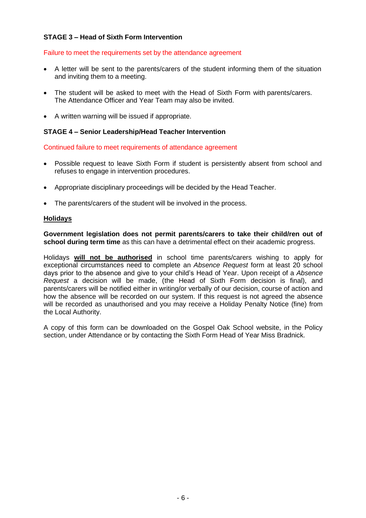# **STAGE 3 – Head of Sixth Form Intervention**

#### Failure to meet the requirements set by the attendance agreement

- A letter will be sent to the parents/carers of the student informing them of the situation and inviting them to a meeting.
- The student will be asked to meet with the Head of Sixth Form with parents/carers. The Attendance Officer and Year Team may also be invited.
- A written warning will be issued if appropriate.

#### **STAGE 4 – Senior Leadership/Head Teacher Intervention**

Continued failure to meet requirements of attendance agreement

- Possible request to leave Sixth Form if student is persistently absent from school and refuses to engage in intervention procedures.
- Appropriate disciplinary proceedings will be decided by the Head Teacher.
- The parents/carers of the student will be involved in the process.

#### **Holidays**

**Government legislation does not permit parents/carers to take their child/ren out of school during term time** as this can have a detrimental effect on their academic progress.

Holidays **will not be authorised** in school time parents/carers wishing to apply for exceptional circumstances need to complete an *Absence Request* form at least 20 school days prior to the absence and give to your child's Head of Year. Upon receipt of a *Absence Request* a decision will be made, (the Head of Sixth Form decision is final), and parents/carers will be notified either in writing/or verbally of our decision, course of action and how the absence will be recorded on our system. If this request is not agreed the absence will be recorded as unauthorised and you may receive a Holiday Penalty Notice (fine) from the Local Authority.

A copy of this form can be downloaded on the Gospel Oak School website, in the Policy section, under Attendance or by contacting the Sixth Form Head of Year Miss Bradnick.